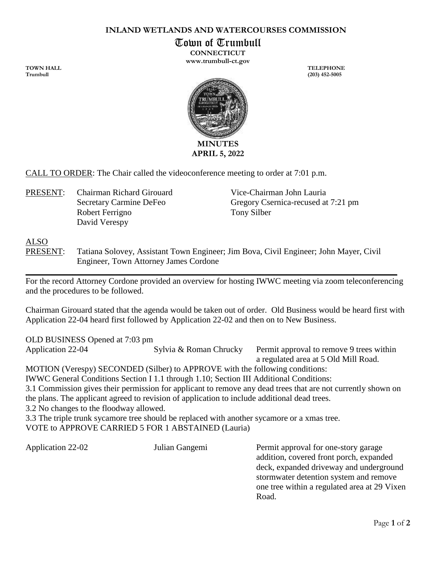## **INLAND WETLANDS AND WATERCOURSES COMMISSION**

Town of Trumbull

**CONNECTICUT www.trumbull-ct.gov**

**TOWN HALL TELEPHONE Trumbull (203) 452-5005**



CALL TO ORDER: The Chair called the videoconference meeting to order at 7:01 p.m.

PRESENT: Chairman Richard Girouard Vice-Chairman John Lauria Robert Ferrigno Tony Silber David Verespy

Secretary Carmine DeFeo Gregory Csernica-recused at 7:21 pm

## ALSO

PRESENT: Tatiana Solovey, Assistant Town Engineer; Jim Bova, Civil Engineer; John Mayer, Civil Engineer, Town Attorney James Cordone

For the record Attorney Cordone provided an overview for hosting IWWC meeting via zoom teleconferencing and the procedures to be followed.

 $\_$  , and the set of the set of the set of the set of the set of the set of the set of the set of the set of the set of the set of the set of the set of the set of the set of the set of the set of the set of the set of th

Chairman Girouard stated that the agenda would be taken out of order. Old Business would be heard first with Application 22-04 heard first followed by Application 22-02 and then on to New Business.

OLD BUSINESS Opened at 7:03 pm

Application 22-04 Sylvia & Roman Chrucky Permit approval to remove 9 trees within a regulated area at 5 Old Mill Road. MOTION (Verespy) SECONDED (Silber) to APPROVE with the following conditions: IWWC General Conditions Section I 1.1 through 1.10; Section III Additional Conditions: 3.1 Commission gives their permission for applicant to remove any dead trees that are not currently shown on the plans. The applicant agreed to revision of application to include additional dead trees. 3.2 No changes to the floodway allowed. 3.3 The triple trunk sycamore tree should be replaced with another sycamore or a xmas tree. VOTE to APPROVE CARRIED 5 FOR 1 ABSTAINED (Lauria)

Application 22-02 Julian Gangemi Permit approval for one-story garage addition, covered front porch, expanded deck, expanded driveway and underground stormwater detention system and remove one tree within a regulated area at 29 Vixen Road.